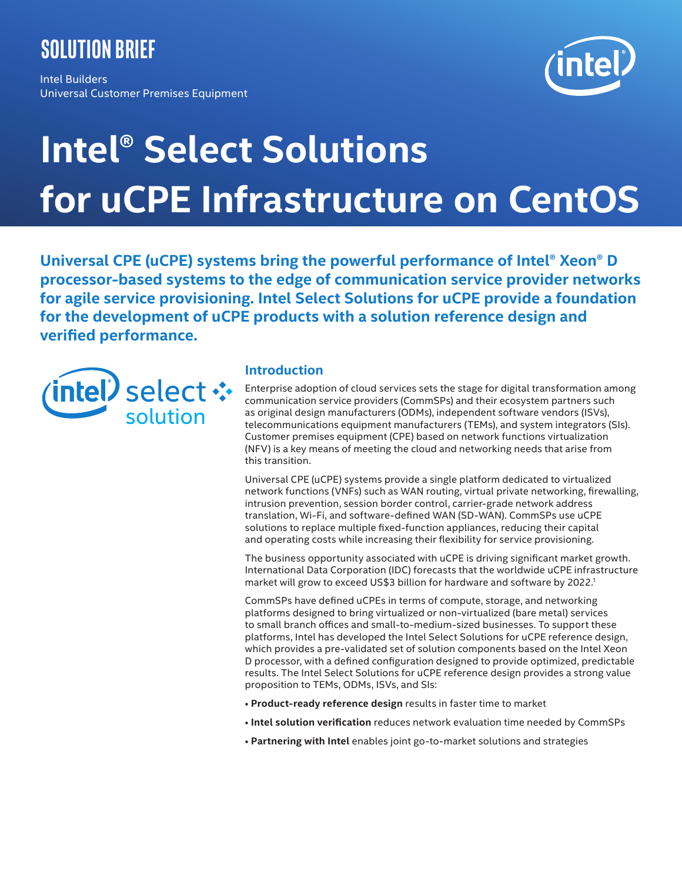# **solution brief**

Intel Builders Universal Customer Premises Equipment



# **Intel® Select Solutions for uCPE Infrastructure on CentOS**

**Universal CPE (uCPE) systems bring the powerful performance of Intel® Xeon® D processor-based systems to the edge of communication service provider networks for agile service provisioning. Intel Select Solutions for uCPE provide a foundation for the development of uCPE products with a solution reference design and verified performance.**



# **Introduction**

Enterprise adoption of cloud services sets the stage for digital transformation among communication service providers (CommSPs) and their ecosystem partners such as original design manufacturers (ODMs), independent software vendors (ISVs), telecommunications equipment manufacturers (TEMs), and system integrators (SIs). Customer premises equipment (CPE) based on network functions virtualization (NFV) is a key means of meeting the cloud and networking needs that arise from this transition.

Universal CPE (uCPE) systems provide a single platform dedicated to virtualized network functions (VNFs) such as WAN routing, virtual private networking, firewalling, intrusion prevention, session border control, carrier-grade network address translation, Wi-Fi, and software-defined WAN (SD-WAN). CommSPs use uCPE solutions to replace multiple fixed-function appliances, reducing their capital and operating costs while increasing their flexibility for service provisioning.

The business opportunity associated with uCPE is driving significant market growth. International Data Corporation (IDC) forecasts that the worldwide uCPE infrastructure market will grow to exceed US\$3 billion for hardware and software by 2022.<sup>1</sup>

CommSPs have defined uCPEs in terms of compute, storage, and networking platforms designed to bring virtualized or non-virtualized (bare metal) services to small branch offices and small-to-medium-sized businesses. To support these platforms, Intel has developed the Intel Select Solutions for uCPE reference design, which provides a pre-validated set of solution components based on the Intel Xeon D processor, with a defined configuration designed to provide optimized, predictable results. The Intel Select Solutions for uCPE reference design provides a strong value proposition to TEMs, ODMs, ISVs, and SIs:

- **Product-ready reference design** results in faster time to market
- **Intel solution verification** reduces network evaluation time needed by CommSPs
- **Partnering with Intel** enables joint go-to-market solutions and strategies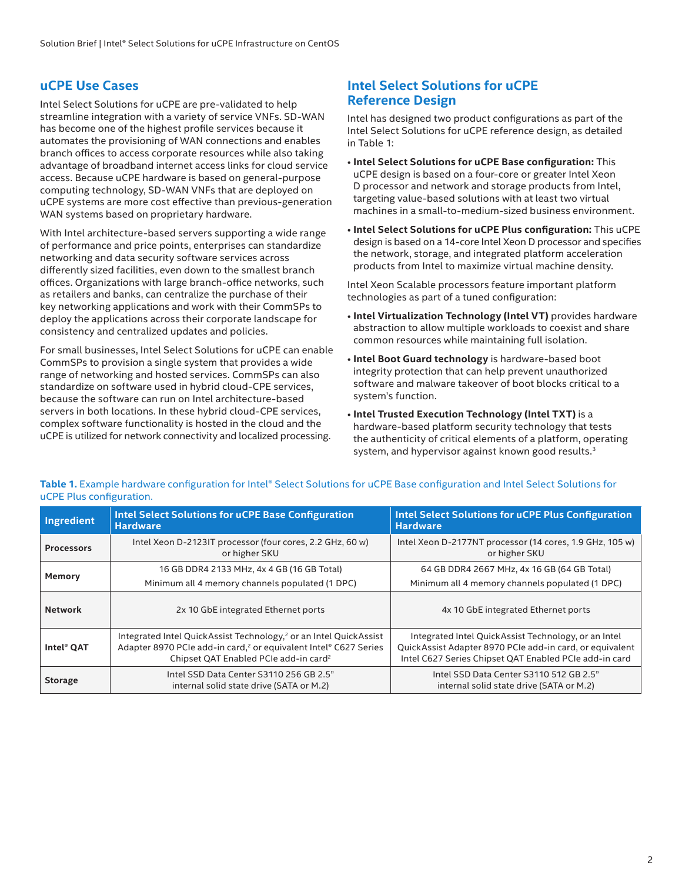# **uCPE Use Cases**

Intel Select Solutions for uCPE are pre-validated to help streamline integration with a variety of service VNFs. SD-WAN has become one of the highest profile services because it automates the provisioning of WAN connections and enables branch offices to access corporate resources while also taking advantage of broadband internet access links for cloud service access. Because uCPE hardware is based on general-purpose computing technology, SD-WAN VNFs that are deployed on uCPE systems are more cost effective than previous-generation WAN systems based on proprietary hardware.

With Intel architecture-based servers supporting a wide range of performance and price points, enterprises can standardize networking and data security software services across differently sized facilities, even down to the smallest branch offices. Organizations with large branch-office networks, such as retailers and banks, can centralize the purchase of their key networking applications and work with their CommSPs to deploy the applications across their corporate landscape for consistency and centralized updates and policies.

For small businesses, Intel Select Solutions for uCPE can enable CommSPs to provision a single system that provides a wide range of networking and hosted services. CommSPs can also standardize on software used in hybrid cloud-CPE services, because the software can run on Intel architecture-based servers in both locations. In these hybrid cloud-CPE services, complex software functionality is hosted in the cloud and the uCPE is utilized for network connectivity and localized processing.

# **Intel Select Solutions for uCPE Reference Design**

Intel has designed two product configurations as part of the Intel Select Solutions for uCPE reference design, as detailed in Table 1:

- **Intel Select Solutions for uCPE Base configuration:** This uCPE design is based on a four-core or greater Intel Xeon D processor and network and storage products from Intel, targeting value-based solutions with at least two virtual machines in a small-to-medium-sized business environment.
- **Intel Select Solutions for uCPE Plus configuration:** This uCPE design is based on a 14-core Intel Xeon D processor and specifies the network, storage, and integrated platform acceleration products from Intel to maximize virtual machine density.

Intel Xeon Scalable processors feature important platform technologies as part of a tuned configuration:

- **Intel Virtualization Technology (Intel VT)** provides hardware abstraction to allow multiple workloads to coexist and share common resources while maintaining full isolation.
- **Intel Boot Guard technology** is hardware-based boot integrity protection that can help prevent unauthorized software and malware takeover of boot blocks critical to a system's function.
- **Intel Trusted Execution Technology (Intel TXT)** is a hardware-based platform security technology that tests the authenticity of critical elements of a platform, operating system, and hypervisor against known good results.<sup>3</sup>

| Ingredient        | <b>Intel Select Solutions for uCPE Base Configuration</b><br><b>Hardware</b>                                                                                                                                       | <b>Intel Select Solutions for uCPE Plus Configuration</b><br><b>Hardware</b>                                                                                               |
|-------------------|--------------------------------------------------------------------------------------------------------------------------------------------------------------------------------------------------------------------|----------------------------------------------------------------------------------------------------------------------------------------------------------------------------|
| <b>Processors</b> | Intel Xeon D-2123IT processor (four cores, 2.2 GHz, 60 w)<br>or higher SKU                                                                                                                                         | Intel Xeon D-2177NT processor (14 cores, 1.9 GHz, 105 w)<br>or higher SKU                                                                                                  |
| Memory            | 16 GB DDR4 2133 MHz, 4x 4 GB (16 GB Total)                                                                                                                                                                         | 64 GB DDR4 2667 MHz, 4x 16 GB (64 GB Total)                                                                                                                                |
|                   | Minimum all 4 memory channels populated (1 DPC)                                                                                                                                                                    | Minimum all 4 memory channels populated (1 DPC)                                                                                                                            |
| <b>Network</b>    | 2x 10 GbE integrated Ethernet ports                                                                                                                                                                                | 4x 10 GbE integrated Ethernet ports                                                                                                                                        |
| Intel® OAT        | Integrated Intel QuickAssist Technology, <sup>2</sup> or an Intel QuickAssist<br>Adapter 8970 PCIe add-in card, <sup>2</sup> or equivalent Intel® C627 Series<br>Chipset QAT Enabled PCIe add-in card <sup>2</sup> | Integrated Intel QuickAssist Technology, or an Intel<br>QuickAssist Adapter 8970 PCIe add-in card, or equivalent<br>Intel C627 Series Chipset QAT Enabled PCIe add-in card |
| <b>Storage</b>    | Intel SSD Data Center S3110 256 GB 2.5"<br>internal solid state drive (SATA or M.2)                                                                                                                                | Intel SSD Data Center S3110 512 GB 2.5"<br>internal solid state drive (SATA or M.2)                                                                                        |

Table 1. Example hardware configuration for Intel® Select Solutions for uCPE Base configuration and Intel Select Solutions for uCPE Plus configuration.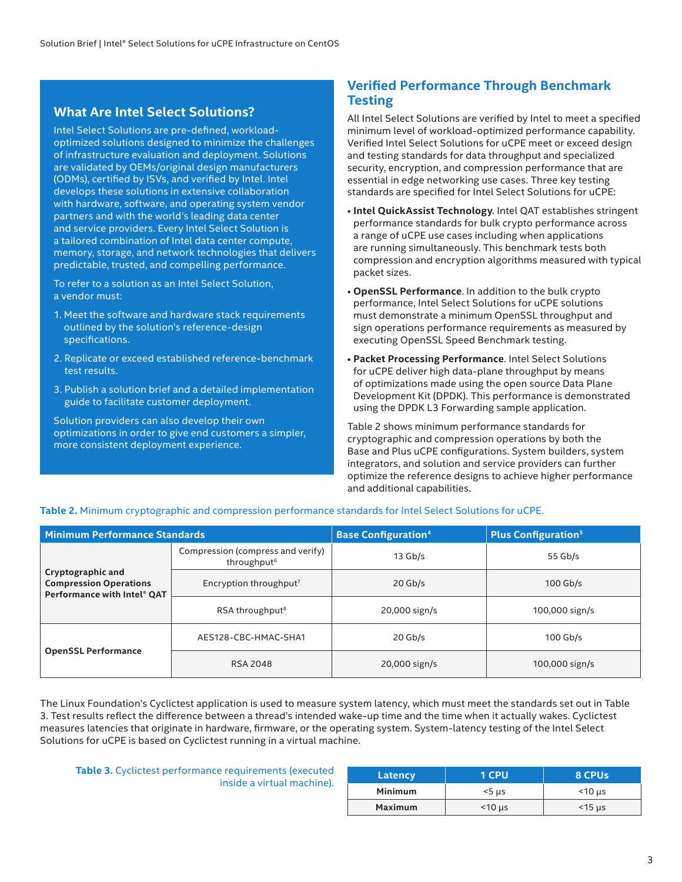# **What Are Intel Select Solutions?**

Intel Select Solutions are pre-defined, workloadoptimized solutions designed to minimize the challenges of infrastructure evaluation and deployment. Solutions are validated by OEMs/original design manufacturers (ODMs), certified by ISVs, and verified by Intel. Intel develops these solutions in extensive collaboration with hardware, software, and operating system vendor partners and with the world's leading data center and service providers. Every Intel Select Solution is a tailored combination of Intel data center compute, memory, storage, and network technologies that delivers predictable, trusted, and compelling performance.

To refer to a solution as an Intel Select Solution, a vendor must:

- 1. Meet the software and hardware stack requirements outlined by the solution's reference-design specifications.
- 2. Replicate or exceed established reference-benchmark test results.
- 3. Publish a solution brief and a detailed implementation guide to facilitate customer deployment.

Solution providers can also develop their own optimizations in order to give end customers a simpler, more consistent deployment experience.

# **Verified Performance Through Benchmark Testing**

All Intel Select Solutions are verified by Intel to meet a specified minimum level of workload-optimized performance capability. Verified Intel Select Solutions for uCPE meet or exceed design and testing standards for data throughput and specialized security, encryption, and compression performance that are essential in edge networking use cases. Three key testing standards are specified for Intel Select Solutions for uCPE:

- **Intel QuickAssist Technology**. Intel QAT establishes stringent performance standards for bulk crypto performance across a range of uCPE use cases including when applications are running simultaneously. This benchmark tests both compression and encryption algorithms measured with typical packet sizes.
- **OpenSSL Performance**. In addition to the bulk crypto performance, Intel Select Solutions for uCPE solutions must demonstrate a minimum OpenSSL throughput and sign operations performance requirements as measured by executing OpenSSL Speed Benchmark testing.
- **Packet Processing Performance**. Intel Select Solutions for uCPE deliver high data-plane throughput by means of optimizations made using the open source Data Plane Development Kit (DPDK). This performance is demonstrated using the DPDK L3 Forwarding sample application.

Table 2 shows minimum performance standards for cryptographic and compression operations by both the Base and Plus uCPE configurations. System builders, system integrators, and solution and service providers can further optimize the reference designs to achieve higher performance and additional capabilities.

| <b>Minimum Performance Standards</b>                                              |                                                              | <b>Base Configuration</b> <sup>4</sup> | <b>Plus Configuration<sup>5</sup></b> |
|-----------------------------------------------------------------------------------|--------------------------------------------------------------|----------------------------------------|---------------------------------------|
|                                                                                   | Compression (compress and verify)<br>throughput <sup>6</sup> | $13$ Gb/s                              | 55 Gb/s                               |
| Cryptographic and<br><b>Compression Operations</b><br>Performance with Intel® QAT | Encryption throughput <sup>7</sup>                           | $20$ Gb/s                              | $100$ Gb/s                            |
|                                                                                   | RSA throughput <sup>8</sup>                                  | 20,000 sign/s                          | 100,000 sign/s                        |
|                                                                                   | AES128-CBC-HMAC-SHA1                                         | $20$ Gb/s                              | $100$ Gb/s                            |
| <b>OpenSSL Performance</b>                                                        | <b>RSA 2048</b>                                              | 20,000 sign/s                          | 100,000 sign/s                        |

#### **Table 2.** Minimum cryptographic and compression performance standards for Intel Select Solutions for uCPE.

The Linux Foundation's Cyclictest application is used to measure system latency, which must meet the standards set out in Table 3. Test results reflect the difference between a thread's intended wake-up time and the time when it actually wakes. Cyclictest measures latencies that originate in hardware, firmware, or the operating system. System-latency testing of the Intel Select Solutions for uCPE is based on Cyclictest running in a virtual machine.

**Table 3.** Cyclictest performance requirements (executed inside a virtual machine).

| Latency        | 1 CPU          | 8 CPUs         |
|----------------|----------------|----------------|
| <b>Minimum</b> | $5\,\mu s$     | $<$ 10 $\mu$ s |
| <b>Maximum</b> | $<$ 10 $\mu$ s | $<$ 15 $\mu$ s |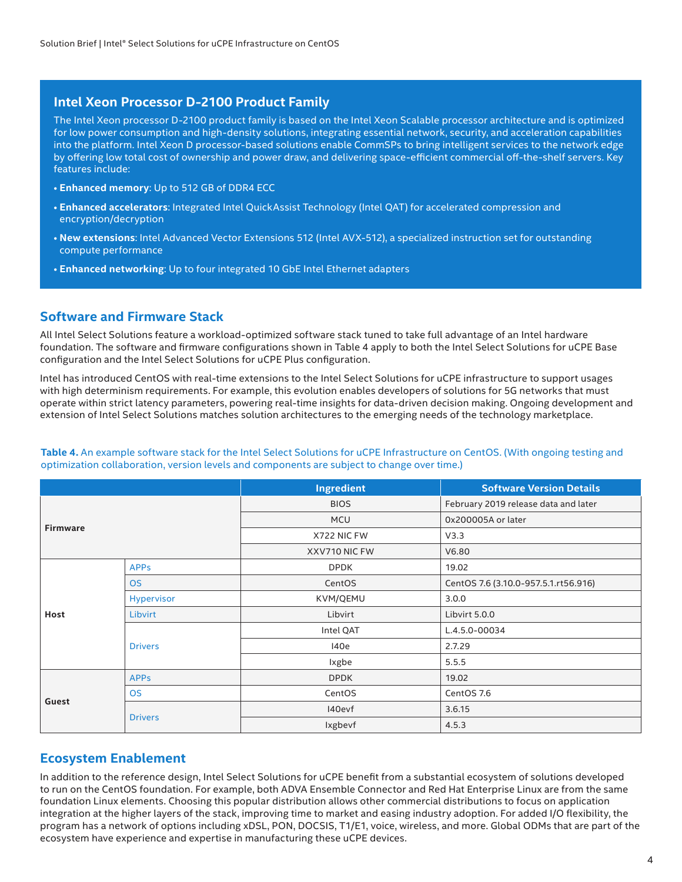#### **Intel Xeon Processor D-2100 Product Family**

The Intel Xeon processor D-2100 product family is based on the Intel Xeon Scalable processor architecture and is optimized for low power consumption and high-density solutions, integrating essential network, security, and acceleration capabilities into the platform. Intel Xeon D processor-based solutions enable CommSPs to bring intelligent services to the network edge by offering low total cost of ownership and power draw, and delivering space-efficient commercial off-the-shelf servers. Key features include:

- **Enhanced memory**: Up to 512 GB of DDR4 ECC
- **Enhanced accelerators**: Integrated Intel QuickAssist Technology (Intel QAT) for accelerated compression and encryption/decryption
- **New extensions**: Intel Advanced Vector Extensions 512 (Intel AVX-512), a specialized instruction set for outstanding compute performance
- **Enhanced networking**: Up to four integrated 10 GbE Intel Ethernet adapters

## **Software and Firmware Stack**

All Intel Select Solutions feature a workload-optimized software stack tuned to take full advantage of an Intel hardware foundation. The software and firmware configurations shown in Table 4 apply to both the Intel Select Solutions for uCPE Base configuration and the Intel Select Solutions for uCPE Plus configuration.

Intel has introduced CentOS with real-time extensions to the Intel Select Solutions for uCPE infrastructure to support usages with high determinism requirements. For example, this evolution enables developers of solutions for 5G networks that must operate within strict latency parameters, powering real-time insights for data-driven decision making. Ongoing development and extension of Intel Select Solutions matches solution architectures to the emerging needs of the technology marketplace.

**Table 4.** An example software stack for the Intel Select Solutions for uCPE Infrastructure on CentOS. (With ongoing testing and optimization collaboration, version levels and components are subject to change over time.)

|                 |                | Ingredient    | <b>Software Version Details</b>      |
|-----------------|----------------|---------------|--------------------------------------|
| <b>Firmware</b> |                | <b>BIOS</b>   | February 2019 release data and later |
|                 |                | <b>MCU</b>    | 0x200005A or later                   |
|                 |                | X722 NIC FW   | V3.3                                 |
|                 |                | XXV710 NIC FW | V6.80                                |
|                 | <b>APPs</b>    | <b>DPDK</b>   | 19.02                                |
|                 | <b>OS</b>      | CentOS        | CentOS 7.6 (3.10.0-957.5.1.rt56.916) |
|                 | Hypervisor     | KVM/QEMU      | 3.0.0                                |
| Host            | Libvirt        | Libvirt       | Libvirt 5.0.0                        |
|                 | <b>Drivers</b> | Intel QAT     | L.4.5.0-00034                        |
|                 |                | 140e          | 2.7.29                               |
|                 |                | <b>Ixgbe</b>  | 5.5.5                                |
|                 | <b>APPs</b>    | <b>DPDK</b>   | 19.02                                |
|                 | <b>OS</b>      | CentOS        | CentOS 7.6                           |
| Guest           | <b>Drivers</b> | I40evf        | 3.6.15                               |
|                 |                | Ixgbevf       | 4.5.3                                |

# **Ecosystem Enablement**

In addition to the reference design, Intel Select Solutions for uCPE benefit from a substantial ecosystem of solutions developed to run on the CentOS foundation. For example, both ADVA Ensemble Connector and Red Hat Enterprise Linux are from the same foundation Linux elements. Choosing this popular distribution allows other commercial distributions to focus on application integration at the higher layers of the stack, improving time to market and easing industry adoption. For added I/O flexibility, the program has a network of options including xDSL, PON, DOCSIS, T1/E1, voice, wireless, and more. Global ODMs that are part of the ecosystem have experience and expertise in manufacturing these uCPE devices.